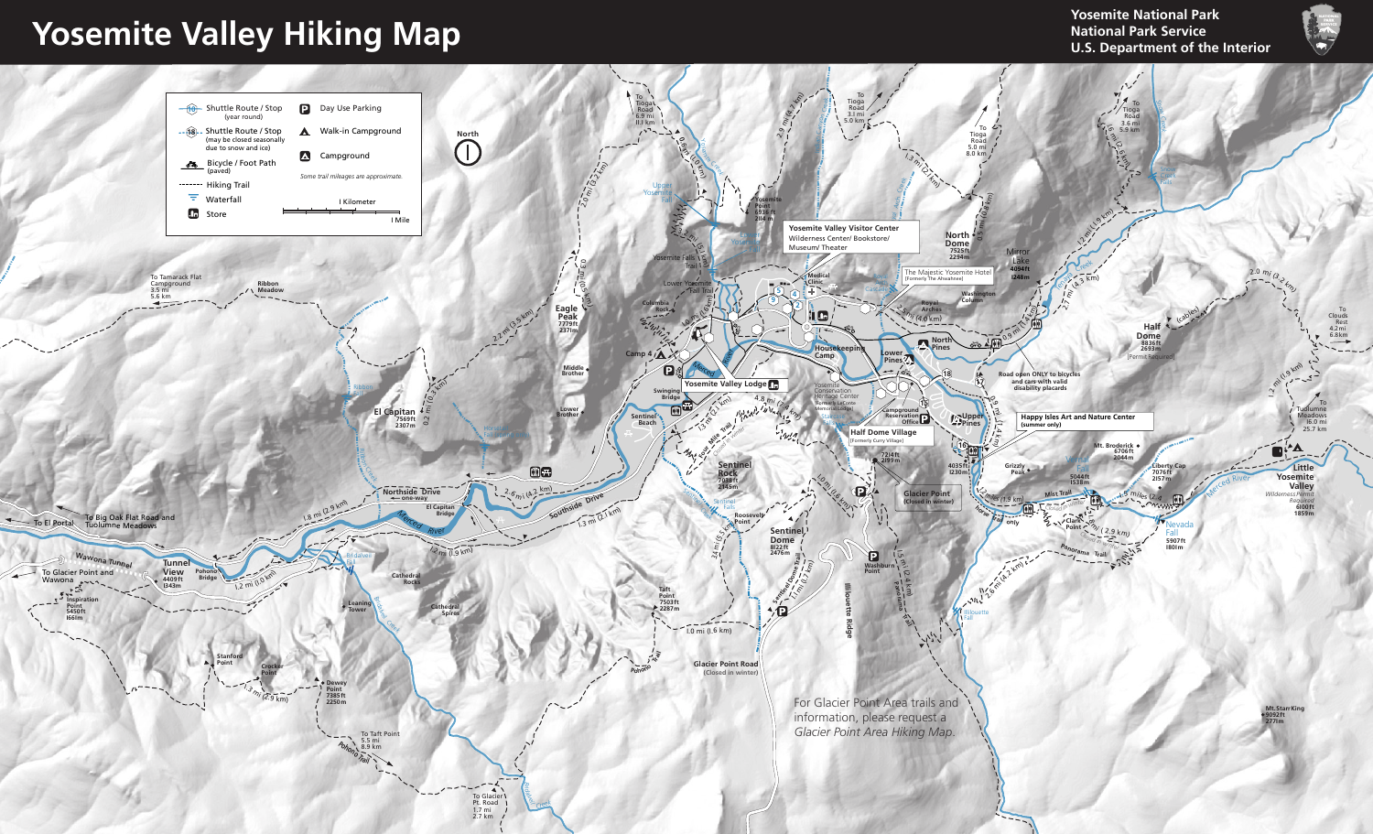**Yosemite Valley Hiking Map**

**Yosemite National Park National Park Service U.S. Department of the Interior**